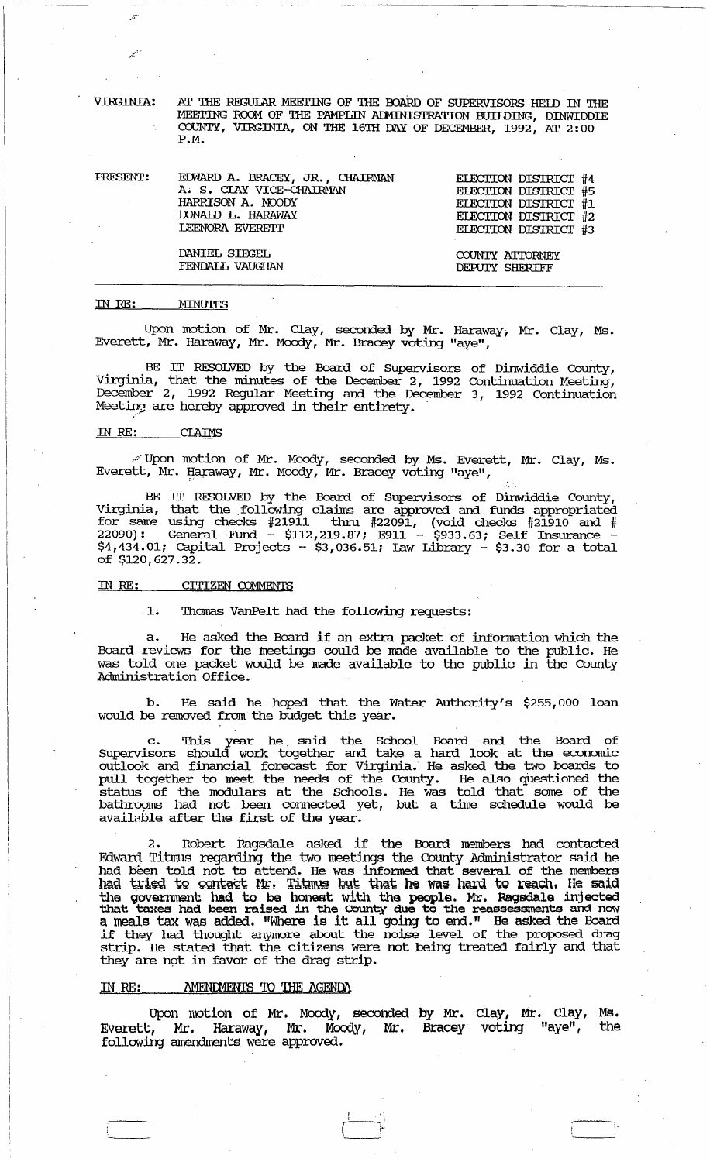VIRGINIA: AT THE REGULAR MEETING OF THE BOARD OF SUPERVISORS HELD IN THE MEETING ROOM OF THE PAMPLIN ADMINISTRATION BUILDING, DINWIDDIE COUNTY, VIRGINIA, ON THE 16TH DAY OF DECEMBER, 1992, AT 2:00 P.M.

| PRESENT: | EDWARD A. BRACEY, JR., CHAIRMAN<br>A. S. CIAY VICE-CHAIRMAN<br>HARRISON A. MOODY<br>DONAID L. HARAWAY<br>LEENORA EVEREIT | ELECTION DISTRICT #4<br>ELECTION DISTRICT #5<br>ELECTION DISTRICT #1<br>ELECTION DISTRICT #2<br>ELECTION DISTRICT #3 |
|----------|--------------------------------------------------------------------------------------------------------------------------|----------------------------------------------------------------------------------------------------------------------|
|          | DANIEL SIEGEL<br>FENDALL VAUGHAN                                                                                         | COUNTY ATTORNEY<br><b>DEPUTY SHERIFF</b>                                                                             |

#### IN RE: **MINUTES**

Upon motion of Mr. Clay, seconded by Mr. Haraway, Mr. Clay, Ms. Everett, Mr. Haraway, Mr. Moody, Mr. Bracey voting "aye",

BE IT RESOLVED by the Board of Supervisors of Dinwiddie County, Virginia, that the minutes of the December 2, 1992 Continuation Meeting,<br>December 2, 1992 Regular Meeting and the December 3, 1992 Continuation Meeting are hereby approved in their entirety.

#### IN RE: **CLAIMS**

When motion of Mr. Moody, seconded by Ms. Everett, Mr. Clay, Ms. Everett, Mr. Haraway, Mr. Moody, Mr. Bracey voting "aye",

BE IT RESOLVED by the Board of Supervisors of Dinwiddie County,<br>Virginia, that the following claims are approved and funds appropriated<br>for same using checks #21911 thru #22091, (void checks #21910 and #<br>22090): General F of \$120,627.32.

#### IN RE: CITIZEN COMMENTS

Thomas VanPelt had the following requests:  $\cdot$  1.

He asked the Board if an extra packet of information which the  $a.$ Board reviews for the meetings could be made available to the public. He was told one packet would be made available to the public in the County Administration Office.

He said he hoped that the Water Authority's \$255,000 loan  $$ would be removed from the budget this year.

c. This year he said the School Board and the Board of<br>Supervisors should work together and take a hard look at the economic<br>outlook and financial forecast for Virginia. He asked the two boards to<br>pull together to meet the status of the modulars at the Schools. He was told that some of the bathrooms had not been connected yet, but a time schedule would be available after the first of the year.

2. Robert Ragsdale asked if the Board members had contacted Edward Titmus regarding the two meetings the County Administrator said he had been told not to attend. He was informed that several of the members had tried to contact Mr. Titula but that he was hard to reach. He said<br>had tried to contact Mr. Tituls but that he was hard to reach. He said<br>the government had to be honest with the people. Mr. Ragsdale injected<br>that taxe they are not in favor of the drag strip.

#### AMENDMENTS TO THE AGENDA IN RE:

Upon motion of Mr. Moody, seconded by Mr. Clay, Mr. Clay, Ms.<br>Everett, Mr. Haraway, Mr. Moody, Mr. Bracey voting "aye", the the following amendments were approved.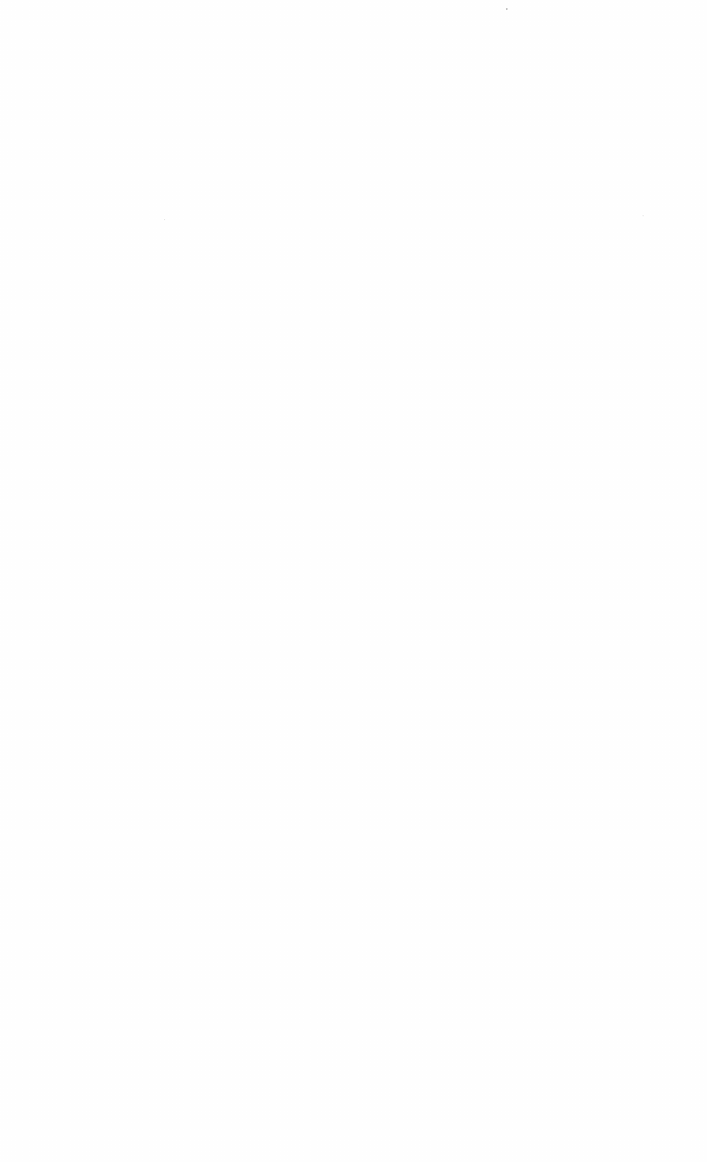$\sim$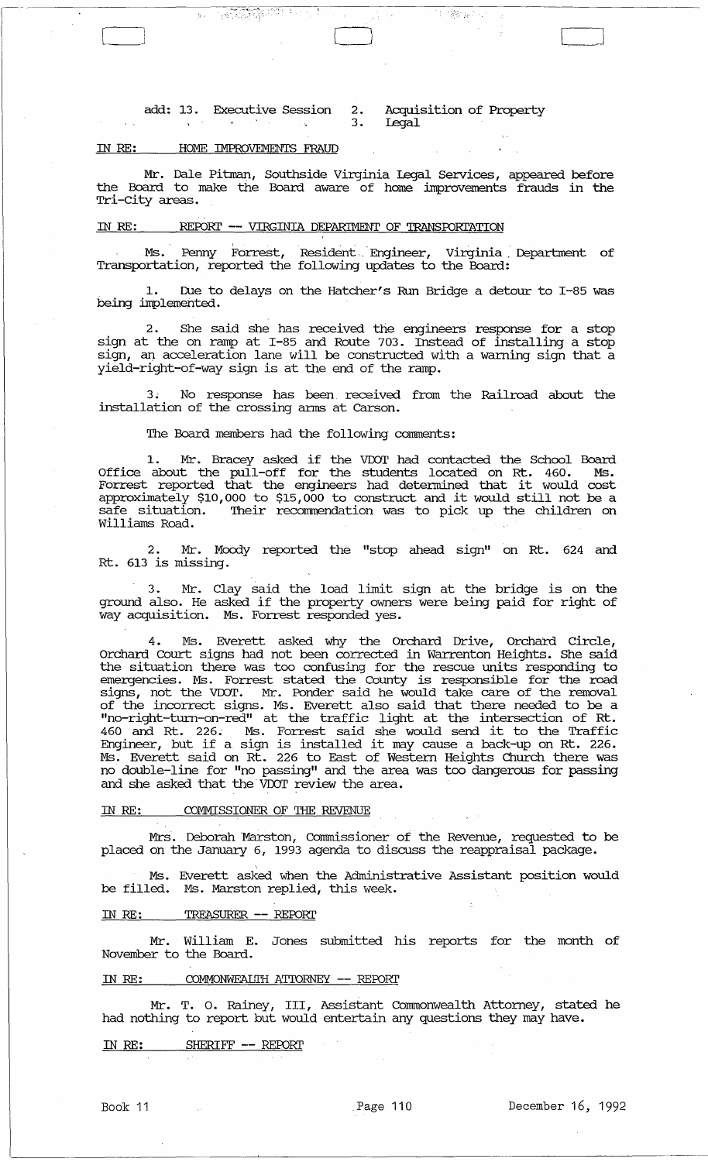add: 13. Executive Session 2.

 $\overline{\phantom{X}}$  ,  $\overline{\phantom{X}}$  ;  $\overline{\phantom{X}}$  ;  $\overline{\phantom{X}}$  ;  $\overline{\phantom{X}}$  ;  $\overline{\phantom{X}}$  ;  $\overline{\phantom{X}}$  ;  $\overline{\phantom{X}}$  ;  $\overline{\phantom{X}}$  ;  $\overline{\phantom{X}}$  ;  $\overline{\phantom{X}}$  ;  $\overline{\phantom{X}}$  ;  $\overline{\phantom{X}}$  ;  $\overline{\phantom{X}}$  ;  $\overline{\phantom{X}}$  ;  $\overline{\phantom{X}}$ 

C\_J

Acquisition of Property Legal

 $\lfloor -\rfloor$ 

#### IN *RE:*  HOME IMPROVEMENTS FRAUD

Mr. Dale Pitman, Southside Virginia Legal services, appeared before the Board to make the Board aware of home improvements frauds in the Tri-City areas.

3.

-------------;;::.~c-:::A..:\_.,''''C, ~~-\_\_;\_---------------------------

### IN RE: **REPORT -- VIRGINIA DEPARTMENT OF TRANSPORTATION**

 $\sim 10^{11}$ 

Ms. Penny Forrest, Resident Engineer, Virginia Department of Transportation, reported the following updates to the Board:

1. Due to delays on the Hatcher's Run Bridge a detour to I-85 was being implemented.

2. She said she has received the engineers response for a stop sign at the on ramp at 1-85 and Route 703. Instead of installing a stop sign, an acceleration lane will be constructed with a warning sign that a yield-right-of-way sign is at the end of the ramp.

3. No response has been received from the Railroad about the installation of the crossing arms at Carson.

The Board members had the following comments:

1. Mr. Bracey asked if the vror had contacted the School Board Office about the pull-off for the students located on Rt. 460. Ms. Forrest reported that the engineers had detennined that it would cost approximately \$10,000 to \$15,000 to construct and it would still not be a safe situation. Their recommendation was to pick up the children on Williams Road.

2. Mr. Moody reported the "stop ahead sign" on Rt. 624 and Rt. 613 is missing.

Mr. Clay said the load limit sign at the bridge is on the ground also. He asked if the property owners were being paid for right of way acquisition. Ms. Forrest responded yes.

Ms. Everett asked why the Orchard Drive, Orchard Circle, Orchard Court signs had not been corrected in Warrenton Heights. She said the situation there was too confusing for the rescue units responding to emergencies. Ms. Forrest stated the County is responsible for the road signs, not the VDOT. Mr. Ponder said he would take care of the removal of the incorrect 'signs. Ms. Everett also said that there needed to be a "no-right-turn-on-red" at the traffic light at the intersection of Rt. 460 and Rt. 226.- Ms. Forrest said she would send it to the Traffic Engineer, but if a sign is installed it may cause a back-up on Rt. 226. Ms. Everett said on Rt. 226 to East of Western Heights Church there was no double-line for "no passing" and the area was too dangerous for passing and she asked that the  $\overline{V}$  vor review the area.

# IN RE: COMMISSIONER OF THE REVENUE

Mrs. Deborah 'Marston, commissioner of the Revenue, requested to be placed on the January 6, 1993 agenda to discuss the reappraisal package.

 $\mathbf{v}$ Ms. Everett asked when the Administrative Assistant position would be filled. Ms. Marston replied, this week.

IN *RE:* TREASURER -- REFORI'

Mr. William E. Jones submitted his reports for the month of November to the Board.

## IN RE: COMMONWEALIH ATTORNEY -- REPORT

Mr. T. o. Rainey, III, Assistant Commonwealth Attorney, stated he had nothing to report but would entertain any questions they may have.

I \_\_\_\_\_\_ ----------~------------------------------

# IN RE: SHERIFF -- REPORT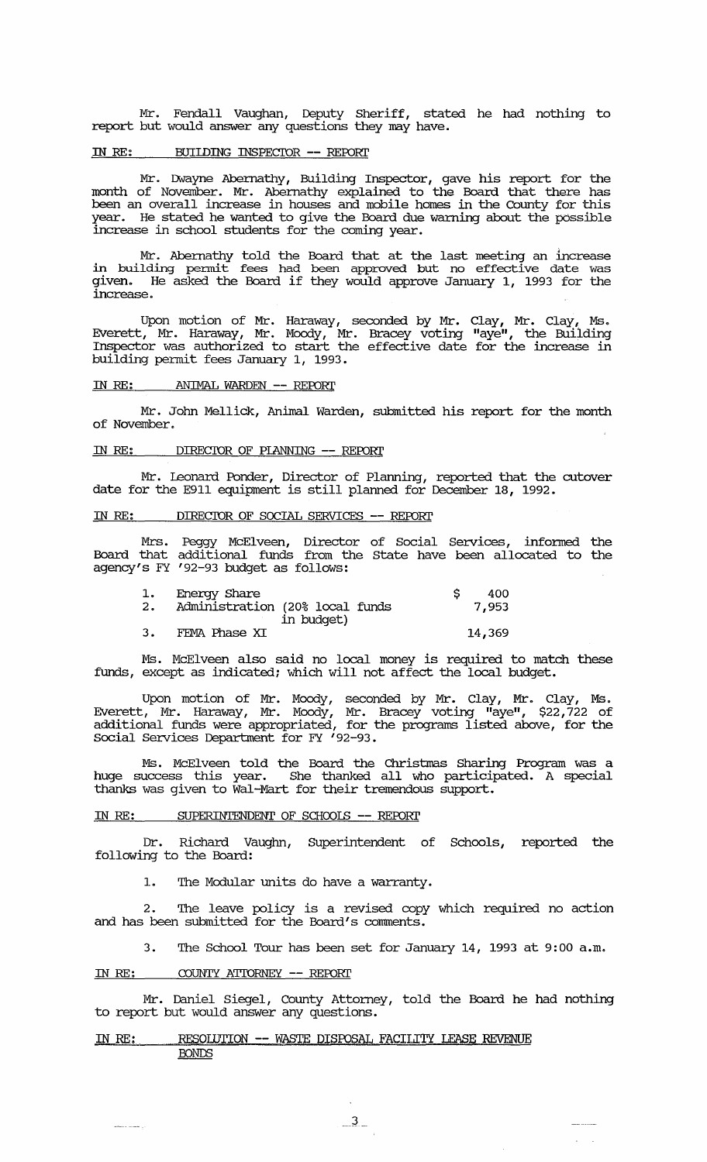Mr. Fendall Vaughan, Deputy Sheriff, stated he had nothing to report but would answer any questions they may have.

# IN RE: BUIIDING INSPECIDR **--** REIDRI'

Mr. IMayne Abernathy, Building Inspector, gave his report for the month of November. Mr. Abernathy explained to the Board that there has been an overall increase in houses and mobile homes in the County for this year. He stated he wanted to give the Board due warning about the possible increase in school students for the coming year.

Mr. Abernathy told the Board that at the last meeting an increase in building pennit fees had been approved but no effective date was given. He asked the Board if they would approve January 1, 1993 for the increase.

Upon motion of Mr. Haraway, seconded by Mr. Clay, Mr. Clay, Ms. Everett, Mr. Haraway, Mr. Moody, Mr. Bracey voting "aye", the Building Inspector was authorized to start the effective date for the increase in building permit fees January 1, 1993.

#### IN RE: ANIMAL WARDEN -- REPORT

Mr. John Mellick, Animal Warden, submitted his report for the month of November.

## IN RE: DIRECTOR OF PLANNING -- REPORT

Mr. leonard Ponder, Director of Planning, reported that the cutover date for the E911 equipment is still planned for December 18, 1992.

## IN RE: DIRECIDR OF SOCIAL SERVICES **--** REIDRI'

Mrs. Peggy McElveen, Director of Social Services, informed the Board that additional funds from the State have been allocated to the agency's FY '92-93 budget as follows:

|    | 1. Energy Share |                                    | 400    |
|----|-----------------|------------------------------------|--------|
|    |                 | 2. Administration (20% local funds | 7,953  |
|    |                 | in budget)                         |        |
| з. | FEMA Phase XI   |                                    | 14,369 |

Ms. McElveen also said no local money is required to match these funds, except as indicated; which will not affect the local budget.

Upon motion of Mr. Moody, seconded by Mr. Clay, Mr. Clay, Ms. Everett, Mr. Haraway, Mr. Moody, Mr. Bracey voting  $\overline{\mathfrak{n}}$ aye", \$22,722 of additional funds were appropriated, for the programs listed above, for the Social services Department for FY '92-93.

Ms. McElveen told the Board the Christmas Sharing Program was a huge success this year. She thanked all who participated. A special thanks was given to Wal-Mart for their tremendous support.

## IN RE: SUPERINTENDENT OF SCHooIS **-- REroRI'**

Dr. Richard Vaughn, Superintendent of Schools, reported the following to the Board:

1. The Modular units do have a warranty.

2. The leave policy is a revised copy which required no action and has been submitted for the Board's comments.

3. The School Tour has been set for January 14, 1993 at 9:00 a.m.

# IN RE: COUNTY ATTORNEY -- REPORT

Mr. Daniel Siegel, County Attorney, told the Board he had nothing to report but would answer any questions.

## IN RE: RESOLUTION -- WASTE DISPOSAL FACILITY LEASE REVENUE BONDS

 $-3$   $-$ 

 $\omega_{\rm{max}}$ 

 $\bar{\mathcal{A}}$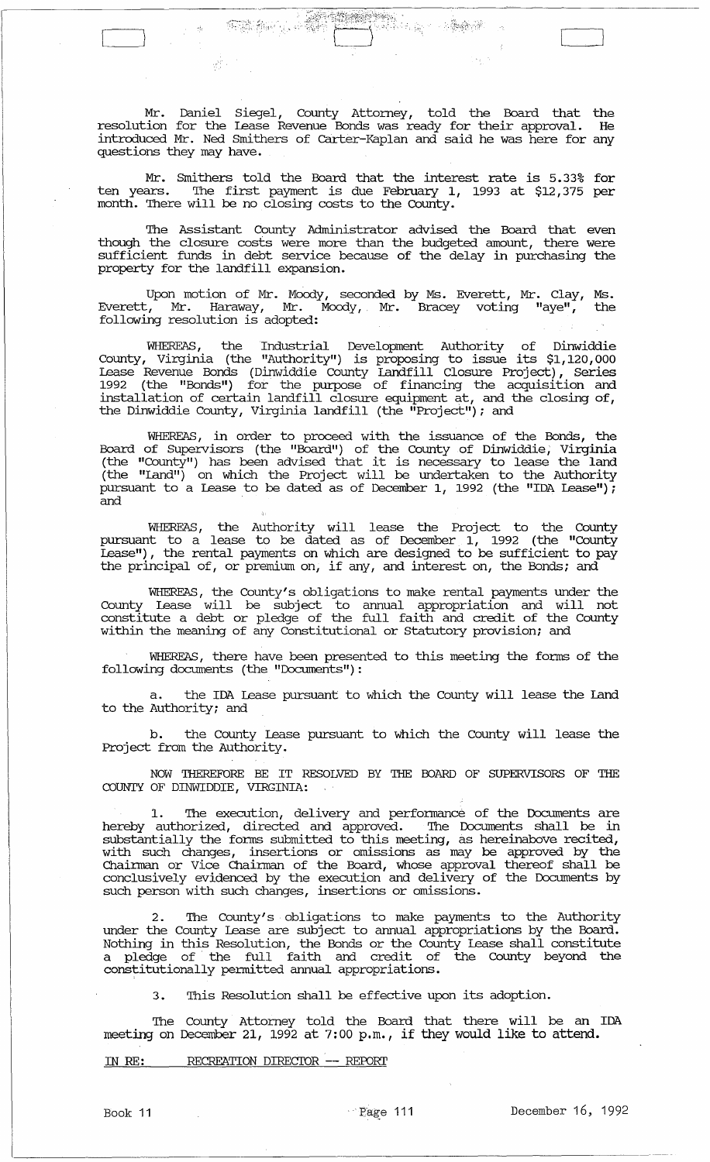Mr. Daniel Siegel, County Attorney, told the Board that the resolution for the Lease Revenue Bonds was ready for their approval. He introduced Mr. Ned Smithers of Carter-Kaplan and said he was here for any questions they may have.

 $\frac{1}{\sqrt{2}}\sum_{i=1}^n\frac{1}{\sqrt{2}}\left(\frac{1}{\sqrt{2}}\right)^2$ 

Mr. Smithers told the Board that the interest rate is 5.33% for ten years. 'Ihe first payment is due February 1, 1993 at \$12,375 per month. 'Ihere will be no closing costs to the County.

The Assistant County Administrator advised the Board that even though the closure costs were more than the budgeted amount, there were sufficient funds in debt service because of the delay in purchasing the property for the landfill expansion.

Upon motion of Mr. Moody, seconded by Ms. Everett, Mr. Clay, Ms. Everett, Mr. Haraway, Mr. Moody, Mr. Bracey voting "aye", the following resolution is adopted:

WHEREAS, the Industrial Development Authority of Dinwiddie County, Virginia (the "Authority") is proposing to issue its \$1,120,000 Lease Revenue Bonds (Dinwiddie County landfill Closure Project), Series 1992 (the "Bonds") for the purpose of financing the acquisition and installation of certain landfill closure equipment at, and the closing of, the Dinwiddie County, Virginia landfill (the "Project"); and

WHEREAS, in order to proceed with the issuance of the Bonds, the Board of Supervisors (the "Board") of the County of Dinwiddie; Virginia (the "County") has been advised that it is necessary to lease the land (the "land") on which the Project will be undertaken to the Authority pursuant to a Lease to be dated as of December 1, 1992 (the "IDA Lease"); and

WHEREAS, the Authority will lease the Project to the County pursuant to a lease to be dated as of December 1, 1992 (the "County Lease"), the rental payments on which are designed to be sufficient to pay the principal of, or premium on, if any, and interest on, the Bonds; and

WHEREAS, the County's obligations to make rental payments under the County Lease will be subject to annual appropriation and will not constitute a debt or pledge of the full faith and credit of the County within the meaning of any constitutional or statutory provision; and

WHEREAS, there have been presented to this meeting the forms of the following documents (the "Documents"):

a. the IDA Lease pursuant to which the county will lease the land to the Authority; and

b. the County Lease pursuant to which the County will lease the Project from the Authority.

NOW THEREFDRE BE IT RESOLVED BY THE BOARD OF SUPERVISORS OF THE COUNTY OF DINWIDDIE, VIRGINIA:

1. 'Ihe execution, delivery and perfonnance of the Documents are hereby authorized, directed and approved. The Documents shall be in substantially the forms submitted to this meeting, as hereinabove recited, with such changes, insertions or omissions as may be approved by the Chainnan or Vice Chainnan of the Board, whose approval thereof shall be conclusi vel y evidenced by the execution and delivery of the Documents by such person with such changes, insertions or omissions.

The County's obligations to make payments to the Authority under the County Lease are subject to annual appropriations by the Board. Nothing in this Resolution, the Bonds or the County Lease shall constitute a pledge of· the full faith and credit of the County beyond the constitutionally permitted annual appropriations.

3. 'Ihis Resolution shall be effective upon its adoption.

'Ihe County Attorney told the Board that there will be an IDA meeting on Deceniber 21, 1992 at 7:00 p.m., if they would *like* to attend.

## IN RE: RECREATION DIRECTOR -- REPORT

 $\overline{\phantom{a}}$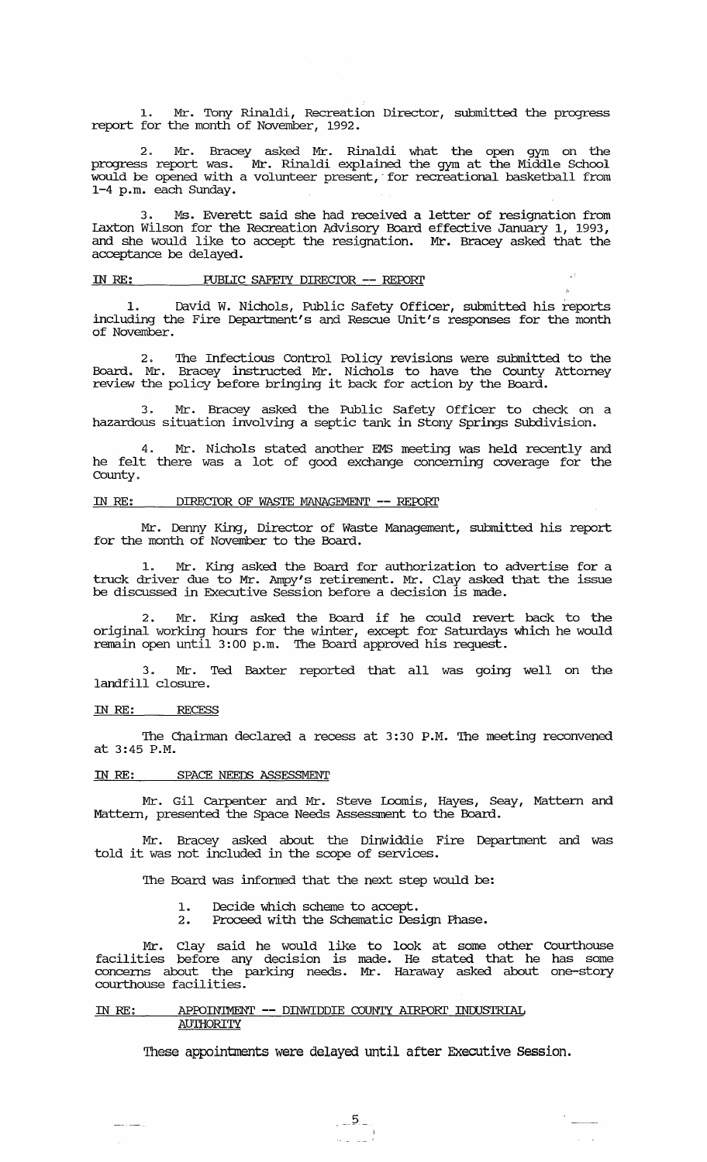1. Mr. Tony Rinaldi, Recreation Director, submitted the progress report for the month of November, 1992.

2. Mr. Bracey asked Mr. Rinaldi what the open gym on the progress report was. Mr. Rinaldi explained the gym at the Middle School would be opened with a volunteer present, for recreational basketball from 1-4 p.m. each Sunday.

3. Ms. Everett said she had received a letter of resignation from Laxton Wilson for the Recreation Advisory Board and she would like to accept the resignation. acceptance be delayed. effective January 1, 1993, Mr. Bracey asked that the

# IN RE: FUBLIC SAFEI'Y DIRECIOR **--** REFDRl'

1. David W. Nichols, Public Safety Officer, submitted his reports including the Fire Department's and Rescue Unit's responses for the month of November.

2. The Infectious Control Policy revlslons were submitted to the Board. Mr. Bracey instructed Mr. Nichols to have the County Attorney review the policy before bringing it back for action by the Board.

3 • Mr. Bracey asked the Public Safety Officer to check on a hazardous situation involving a septic tank in stony Springs Subdivision.

Mr. Nichols stated another EMS meeting was held recently and he felt there was a lot of good exchange concerning coverage for the County.

### IN RE: DIRECIOR OF WAS'IE MANAGEMENT **--** REFDRI'

Mr. Denny King, Director of Waste Management, submitted his report for the month of November to the Board.

I. Mr. King asked the Board for authorization to advertise for a truck driver due to Mr. Ampy's retirement. Mr. Clay asked that the issue be discussed in Executive Session before a decision is made.

Mr. King asked the Board if he could revert back to the original working hours for the winter, except for Saturdays which he would remain open until 3: 00 p.m. The Board approved his request.

3. Mr. Ted Baxter reported that all was going well on the landfill closure.

#### IN RE: RECESS

The Chairman declared a recess at 3:30 P.M. The meeting reconvened at 3:45 P.M.

# IN RE: SPACE NEEDS ASSESSMENT

Mr. Gil Carpenter and Mr. Steve Loomis, Hayes, Seay, Mattern and Mattern, presented the Space Needs Assessment to the Board.

Mr. Bracey asked about the Dinwiddie Fire Department and was told it was not included in the scope of services.

The Board was informed that the next step would be:

- 1. Decide which scheme to accept.
- 2. Proceed with the Schematic Design Phase.

Mr. Clay said he would like to look at some other Courthouse facilities before any decision is made. He stated that he has some concerns about the parking needs. Mr. Haraway asked about one-story courthouse facilities.

# IN RE: APfDIN'IMENT **--** DINWIDDIE COUNI'Y AIRroRI' INWSTRIAL **AUTHORITY**

These appointments were delayed until after Executive Session.

 $\frac{5}{\sqrt{2}}$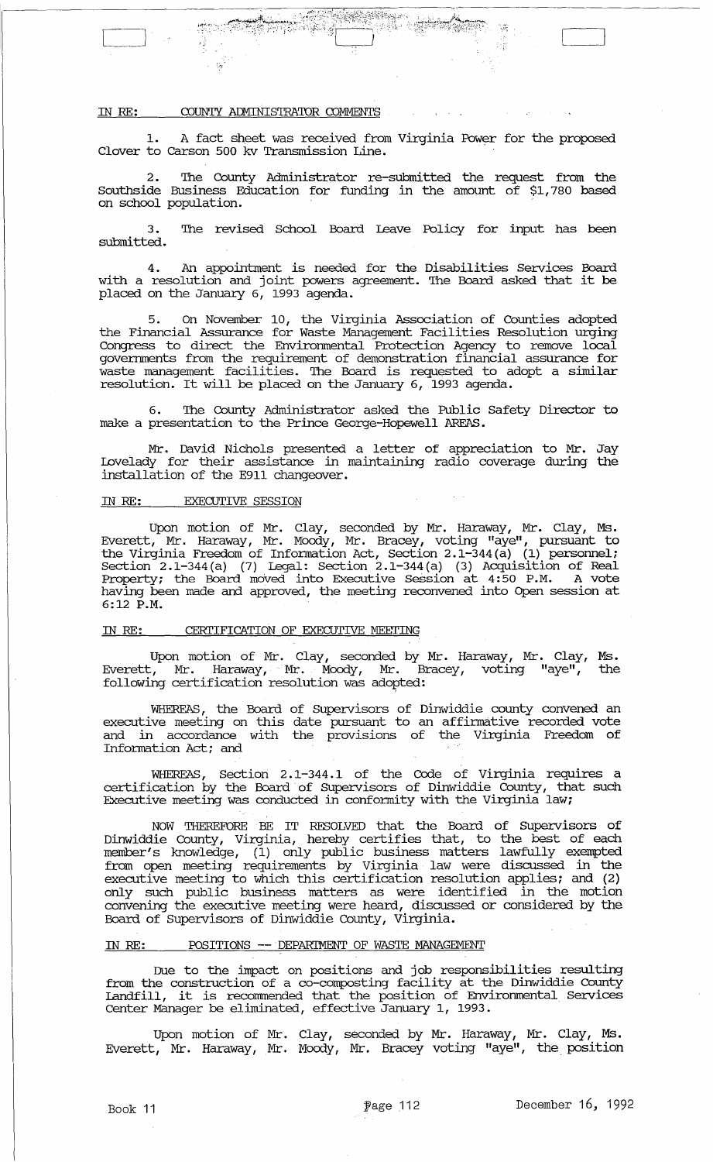# IN RE: COUNTY ADMINISTRATOR COMMENTS

 $\begin{tabular}{|c|c|c|c|c|} \hline \quad \quad & \quad \quad & \quad \quad \\ \hline \quad \quad & \quad \quad & \quad \quad \\ \hline \quad \quad & \quad \quad & \quad \quad \\ \hline \quad \quad & \quad \quad & \quad \quad \\ \hline \quad \quad & \quad \quad & \quad \quad \\ \hline \quad \quad & \quad \quad & \quad \quad \\ \hline \quad \quad & \quad \quad & \quad \quad \\ \hline \quad \quad & \quad \quad & \quad \quad \\ \hline \quad \quad & \quad \quad & \quad \quad \\ \hline \quad \quad & \quad \quad & \quad \quad \\ \hline \quad \quad & \quad \quad & \quad \quad \\ \hline \$ 

1. A fact sheet was received from Virginia Power for the proposed Clover to carson 500 kv Transmission Line.

 $\epsilon$  given

The County Administrator re-submitted the request from the Southside Business Education for funding in the amount of \$1,780 based on school population.

3. 'The revised school Board leave Policy for input has been submitted.

4. An appointment is needed for the Disabilities Services Board with a resolution and joint powers agreement. The Board asked that it be placed on the January 6, 1993 agenda.

5. On November 10, the Virginia Association of Counties adopted the Financial Assurance for waste Management Facilities Resolution urging Congress to direct the Environmental Protection Agency to remove local governments from the requirement of demonstration financial assurance for waste management facilities. 'The Board is requested to adopt a similar resolution. It will be placed on the January 6, 1993 agenda.

6. 'The County Administrator asked the Public Safety Director to make a presentation to the Prince George-Hopewell AREAS.

Mr. David Nichols presented a letter of appreciation to Mr. Jay Lovelady for their assistance in maintaining radio coverage during the installation of the E911 changeover.

#### IN RE: EXECUTIVE SESSION

Upon motion of Mr. Clay, seconded by Mr. Haraway, Mr. Clay, Ms. Everett, Mr. Haraway, Mr. Moody, Mr. Bracey, voting "aye", pursuant to the Virginia Freedom of Information Act, Section 2.1-344(a)  $(1)$  personnel; Section 2.1-344(a) (7) Legal: Section 2.1-344(a) (3) Acquisition of Real Property; the Board moved into Executive Session at 4:50 P.M. A vote having been made and approved, the meeting reconvened into Open session at 6:12 P.M.

# IN RE: CERI'IFICATION OF EXECUTIVE MEEI'ING

Upon motion of Mr. Clay, seconded by Mr. Haraway, Mr. Clay, Ms. Everett, Mr. Haraway, Mr. Moody, Mr. Bracey, voting "aye", the  $\frac{1}{10}$  following certification resolution was adopted:

WHEREAS, the Board of supervisors of Dinwiddie county convened an executive meeting on this date pursuant to an affirmative recorded vote and in accordance with the provisions of the Virginia Freedom of Information Act; and

WHEREAS, section 2. 1-344.1 of the Code of Virginia requires a certification by the Board of Supervisors of Dinwiddie County, that such Executive meeting was conducted in conformity with the Virginia law;

NOW THEREFORE BE IT RESOLVED that the Board of supervisors of Dinwiddie County, Virginia, hereby certifies that, to the best of each member's knowledge, (1) only public business matters lawfully exempted from open meeting requirements by Virginia law were discussed in the executive meeting to which this certification resolution applies; and (2) only such public business matters as were identified in the motion convening the executive meeting were heard, discussed or considered by the Board of Supervisors of Dinwiddie County, Virginia.

# IN RE: POSITIONS **--** DEPARIMENT OF WASTE MANAGEMENT

Due to the impact on positions and job responsibilities resulting from the construction of a co-composting facility at the Dinwiddie County Landfill, it is recommended that the position of Environmental services Center Manager be eliminated, effective January I, 1993.

Upon motion of Mr. Clay, seconded by Mr. Haraway, Mr. Clay, Ms. Everett, Mr. Haraway, Mr. Moody, Mr. Bracey voting "aye", the position